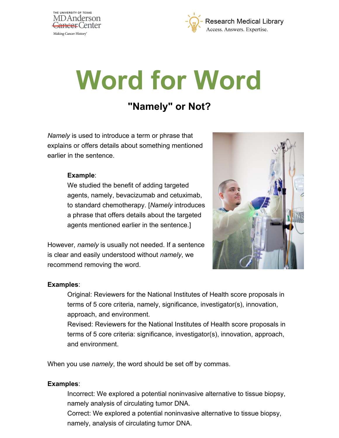



# **Word for Word**

## **"Namely" or Not?**

*Namely* is used to introduce a term or phrase that explains or offers details about something mentioned earlier in the sentence.

#### **Example**:

We studied the benefit of adding targeted agents, namely, bevacizumab and cetuximab, to standard chemotherapy. [*Namely* introduces a phrase that offers details about the targeted agents mentioned earlier in the sentence.]

However, *namely* is usually not needed. If a sentence is clear and easily understood without *namely*, we recommend removing the word.



#### **Examples**:

Original: Reviewers for the National Institutes of Health score proposals in terms of 5 core criteria, namely, significance, investigator(s), innovation, approach, and environment.

Revised: Reviewers for the National Institutes of Health score proposals in terms of 5 core criteria: significance, investigator(s), innovation, approach, and environment.

When you use *namely*, the word should be set off by commas.

#### **Examples**:

Incorrect: We explored a potential noninvasive alternative to tissue biopsy, namely analysis of circulating tumor DNA.

Correct: We explored a potential noninvasive alternative to tissue biopsy, namely, analysis of circulating tumor DNA.